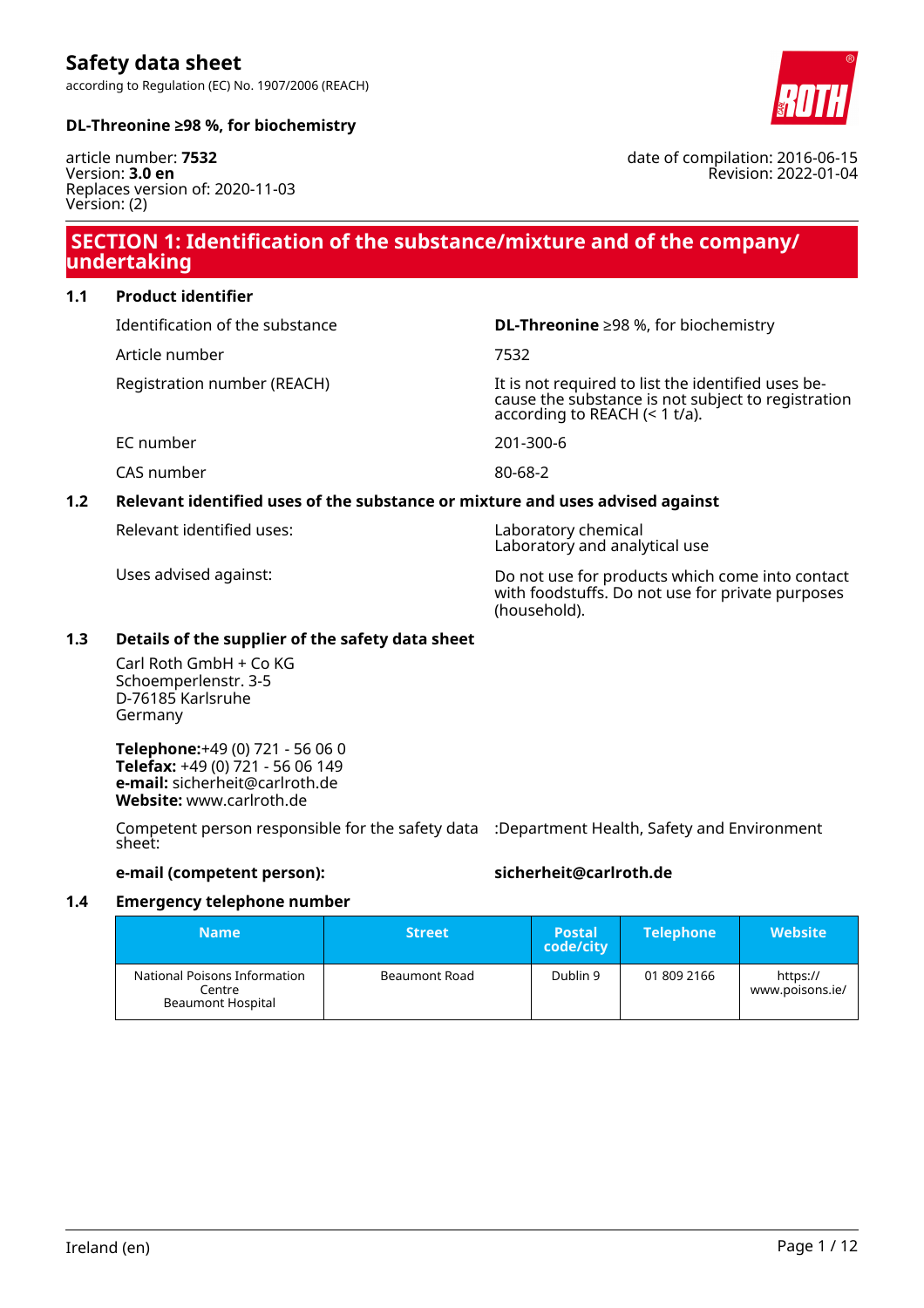according to Regulation (EC) No. 1907/2006 (REACH)



date of compilation: 2016-06-15

Revision: 2022-01-04

# **DL-Threonine ≥98 %, for biochemistry**

article number: **7532** Version: **3.0 en** Replaces version of: 2020-11-03 Version: (2)

# **SECTION 1: Identification of the substance/mixture and of the company/ undertaking**

**1.1 Product identifier**

Article number 7532

Identification of the substance **DL-Threonine** ≥98 %, for biochemistry

Registration number (REACH) It is not required to list the identified uses because the substance is not subject to registration according to REACH (< 1 t/a).

EC number 201-300-6

CAS number 80-68-2

**1.2 Relevant identified uses of the substance or mixture and uses advised against**

Relevant identified uses: Laboratory chemical

Laboratory and analytical use

Uses advised against: Do not use for products which come into contact with foodstuffs. Do not use for private purposes (household).

# **1.3 Details of the supplier of the safety data sheet**

Carl Roth GmbH + Co KG Schoemperlenstr. 3-5 D-76185 Karlsruhe Germany

**Telephone:**+49 (0) 721 - 56 06 0 **Telefax:** +49 (0) 721 - 56 06 149 **e-mail:** sicherheit@carlroth.de **Website:** www.carlroth.de

Competent person responsible for the safety data :Department Health, Safety and Environment sheet:

# **e-mail (competent person): sicherheit@carlroth.de**

# **1.4 Emergency telephone number**

| <b>Name</b>                                                        | <b>Street</b> | <b>Postal</b><br>code/city | <b>Telephone</b> | <b>Website</b>              |
|--------------------------------------------------------------------|---------------|----------------------------|------------------|-----------------------------|
| National Poisons Information<br>Centre<br><b>Beaumont Hospital</b> | Beaumont Road | Dublin 9                   | 01 809 2166      | https://<br>www.poisons.ie/ |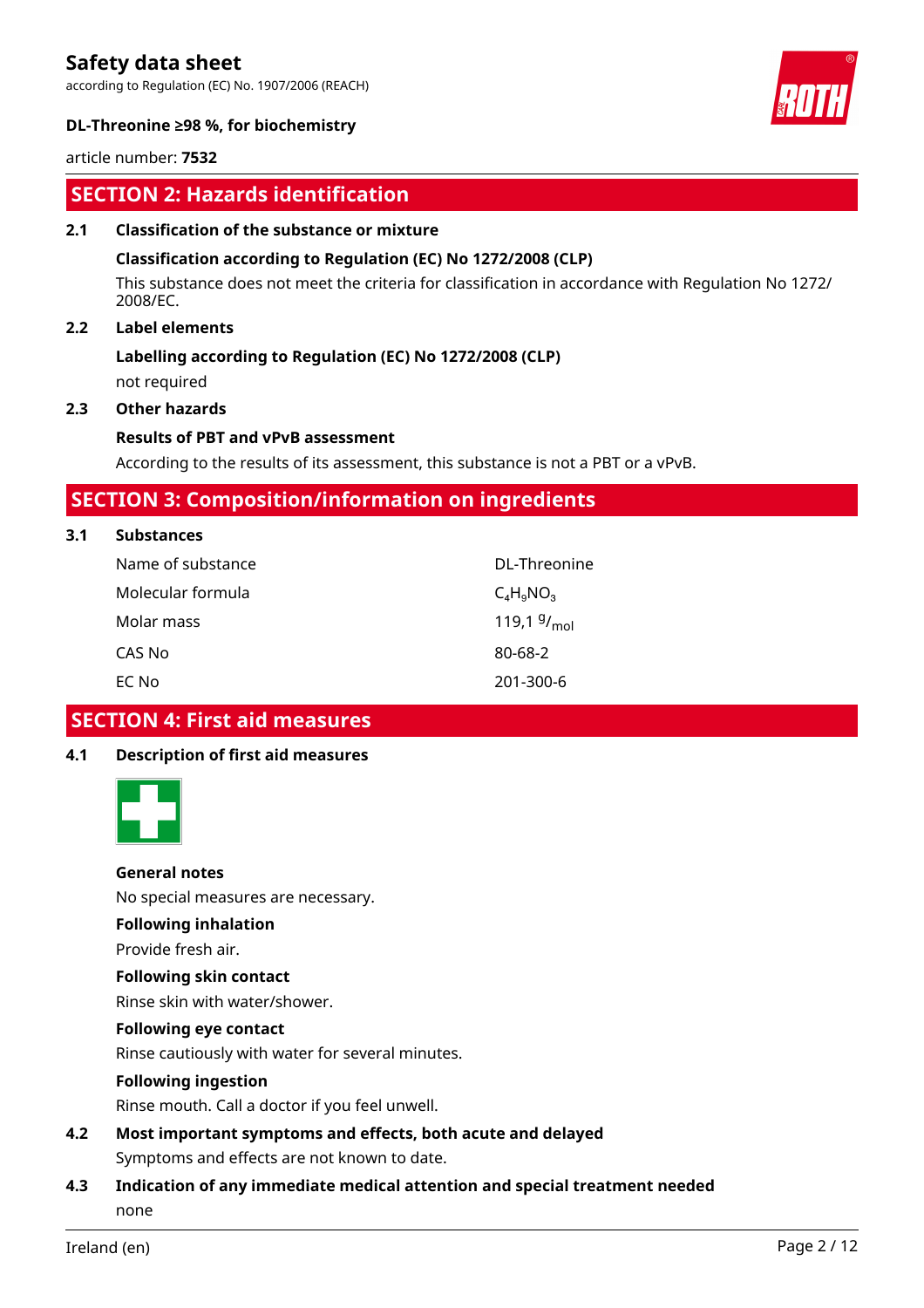according to Regulation (EC) No. 1907/2006 (REACH)



# **DL-Threonine ≥98 %, for biochemistry**

article number: **7532**

# **SECTION 2: Hazards identification**

# **2.1 Classification of the substance or mixture**

#### **Classification according to Regulation (EC) No 1272/2008 (CLP)**

This substance does not meet the criteria for classification in accordance with Regulation No 1272/ 2008/EC.

# **2.2 Label elements**

# **Labelling according to Regulation (EC) No 1272/2008 (CLP)**

not required

# **2.3 Other hazards**

#### **Results of PBT and vPvB assessment**

According to the results of its assessment, this substance is not a PBT or a vPvB.

# **SECTION 3: Composition/information on ingredients**

#### **3.1 Substances**

| Name of substance | DL-Threonine     |
|-------------------|------------------|
| Molecular formula | $C_4H_9NO_3$     |
| Molar mass        | 119,1 $9/_{mol}$ |
| CAS No            | 80-68-2          |
| EC No             | 201-300-6        |

# **SECTION 4: First aid measures**

# **4.1 Description of first aid measures**



# **General notes**

No special measures are necessary.

#### **Following inhalation**

Provide fresh air.

# **Following skin contact**

Rinse skin with water/shower.

# **Following eye contact**

Rinse cautiously with water for several minutes.

# **Following ingestion**

Rinse mouth. Call a doctor if you feel unwell.

- **4.2 Most important symptoms and effects, both acute and delayed** Symptoms and effects are not known to date.
- **4.3 Indication of any immediate medical attention and special treatment needed** none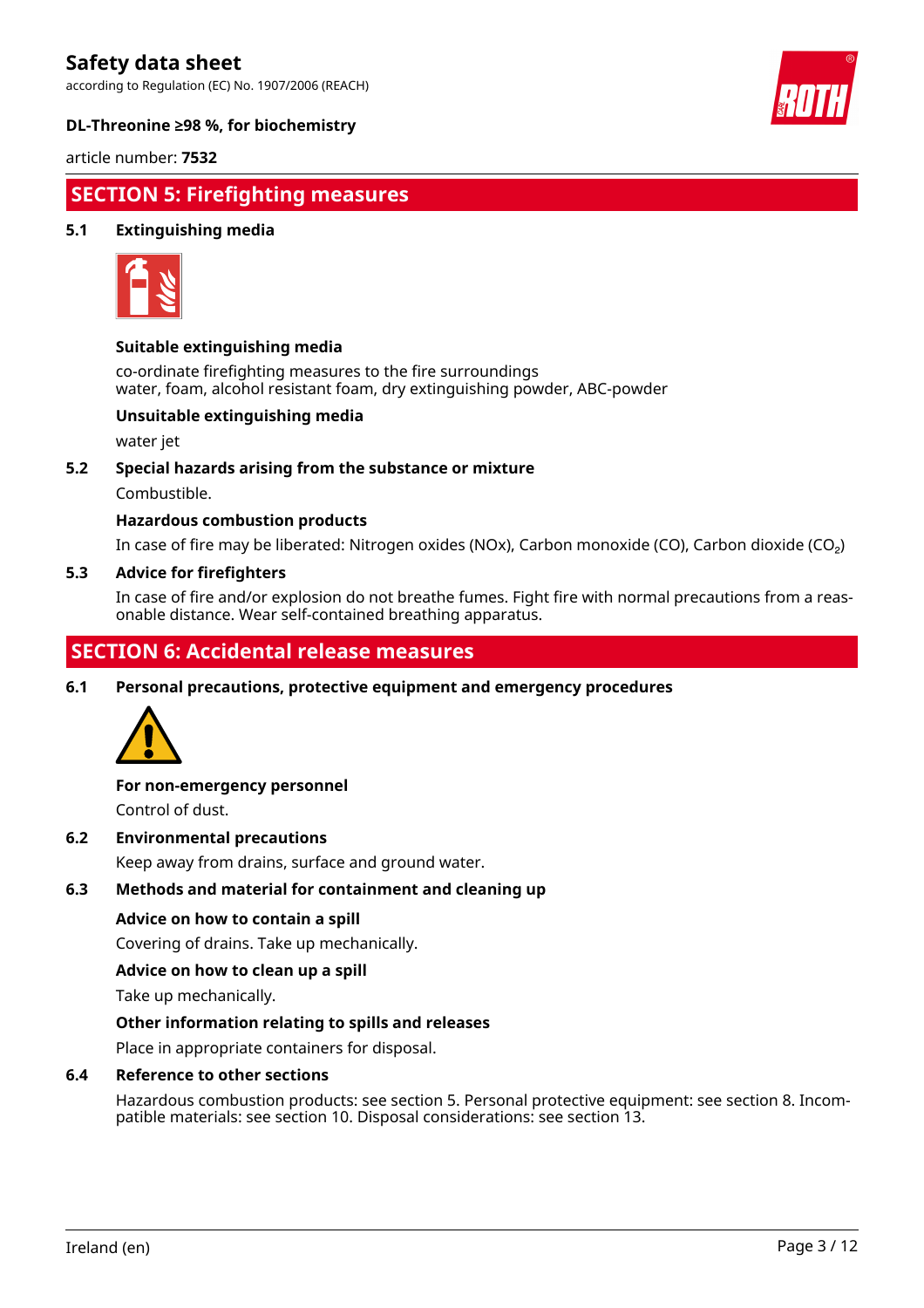according to Regulation (EC) No. 1907/2006 (REACH)



# **DL-Threonine ≥98 %, for biochemistry**

article number: **7532**

# **SECTION 5: Firefighting measures**

# **5.1 Extinguishing media**



# **Suitable extinguishing media**

co-ordinate firefighting measures to the fire surroundings water, foam, alcohol resistant foam, dry extinguishing powder, ABC-powder

# **Unsuitable extinguishing media**

water jet

# **5.2 Special hazards arising from the substance or mixture**

Combustible.

# **Hazardous combustion products**

In case of fire may be liberated: Nitrogen oxides (NOx), Carbon monoxide (CO), Carbon dioxide (CO₂)

# **5.3 Advice for firefighters**

In case of fire and/or explosion do not breathe fumes. Fight fire with normal precautions from a reasonable distance. Wear self-contained breathing apparatus.

# **SECTION 6: Accidental release measures**

**6.1 Personal precautions, protective equipment and emergency procedures**



# **For non-emergency personnel**

Control of dust.

# **6.2 Environmental precautions**

Keep away from drains, surface and ground water.

# **6.3 Methods and material for containment and cleaning up**

# **Advice on how to contain a spill**

Covering of drains. Take up mechanically.

# **Advice on how to clean up a spill**

Take up mechanically.

# **Other information relating to spills and releases**

Place in appropriate containers for disposal.

# **6.4 Reference to other sections**

Hazardous combustion products: see section 5. Personal protective equipment: see section 8. Incompatible materials: see section 10. Disposal considerations: see section 13.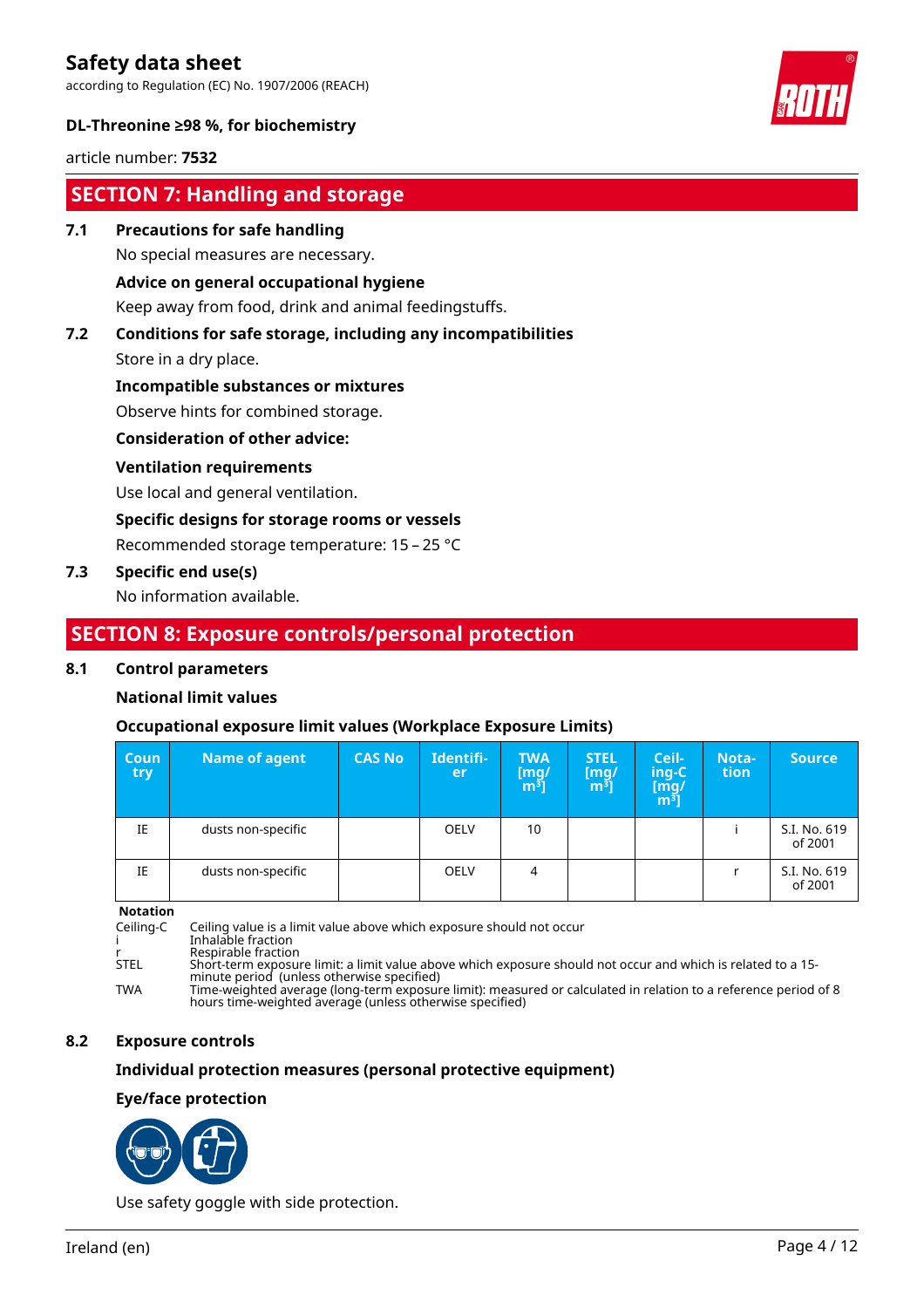according to Regulation (EC) No. 1907/2006 (REACH)



# **DL-Threonine ≥98 %, for biochemistry**

article number: **7532**

# **SECTION 7: Handling and storage**

# **7.1 Precautions for safe handling**

No special measures are necessary.

# **Advice on general occupational hygiene**

Keep away from food, drink and animal feedingstuffs.

# **7.2 Conditions for safe storage, including any incompatibilities**

Store in a dry place.

# **Incompatible substances or mixtures**

Observe hints for combined storage.

# **Consideration of other advice:**

# **Ventilation requirements**

Use local and general ventilation.

# **Specific designs for storage rooms or vessels**

Recommended storage temperature: 15 – 25 °C

# **7.3 Specific end use(s)**

No information available.

# **SECTION 8: Exposure controls/personal protection**

# **8.1 Control parameters**

# **National limit values**

# **Occupational exposure limit values (Workplace Exposure Limits)**

| <b>Coun</b><br>try | <b>Name of agent</b> | <b>CAS No</b> | Identifi-<br>ler. | <b>TWA</b><br>$\begin{bmatrix} \mathsf{mg}/\ \mathsf{m}^3 \end{bmatrix}$ | <b>STEL</b><br>$\mathsf{[mq]}$<br>m <sup>3</sup> | Ceil-<br>ing-C<br>[m̃g/<br>m <sup>3</sup> ] | Nota-<br><b>tion</b> | <b>Source</b>           |
|--------------------|----------------------|---------------|-------------------|--------------------------------------------------------------------------|--------------------------------------------------|---------------------------------------------|----------------------|-------------------------|
| IE                 | dusts non-specific   |               | <b>OELV</b>       | 10                                                                       |                                                  |                                             |                      | S.I. No. 619<br>of 2001 |
| IE                 | dusts non-specific   |               | <b>OELV</b>       | 4                                                                        |                                                  |                                             |                      | S.I. No. 619<br>of 2001 |

**Notation**

Ceiling-C Ceiling value is a limit value above which exposure should not occur

i Inhalable fraction

r Respirable fraction<br>STEL Short-term exposure Resphasic maction<br>Short-term exposure limit: a limit value above which exposure should not occur and which is related to a 15minute period (unless otherwise specified)

TWA Time-weighted average (long-term exposure limit): measured or calculated in relation to a reference period of 8 hours time-weighted average (unless otherwise specified)

# **8.2 Exposure controls**

# **Individual protection measures (personal protective equipment)**

# **Eye/face protection**



Use safety goggle with side protection.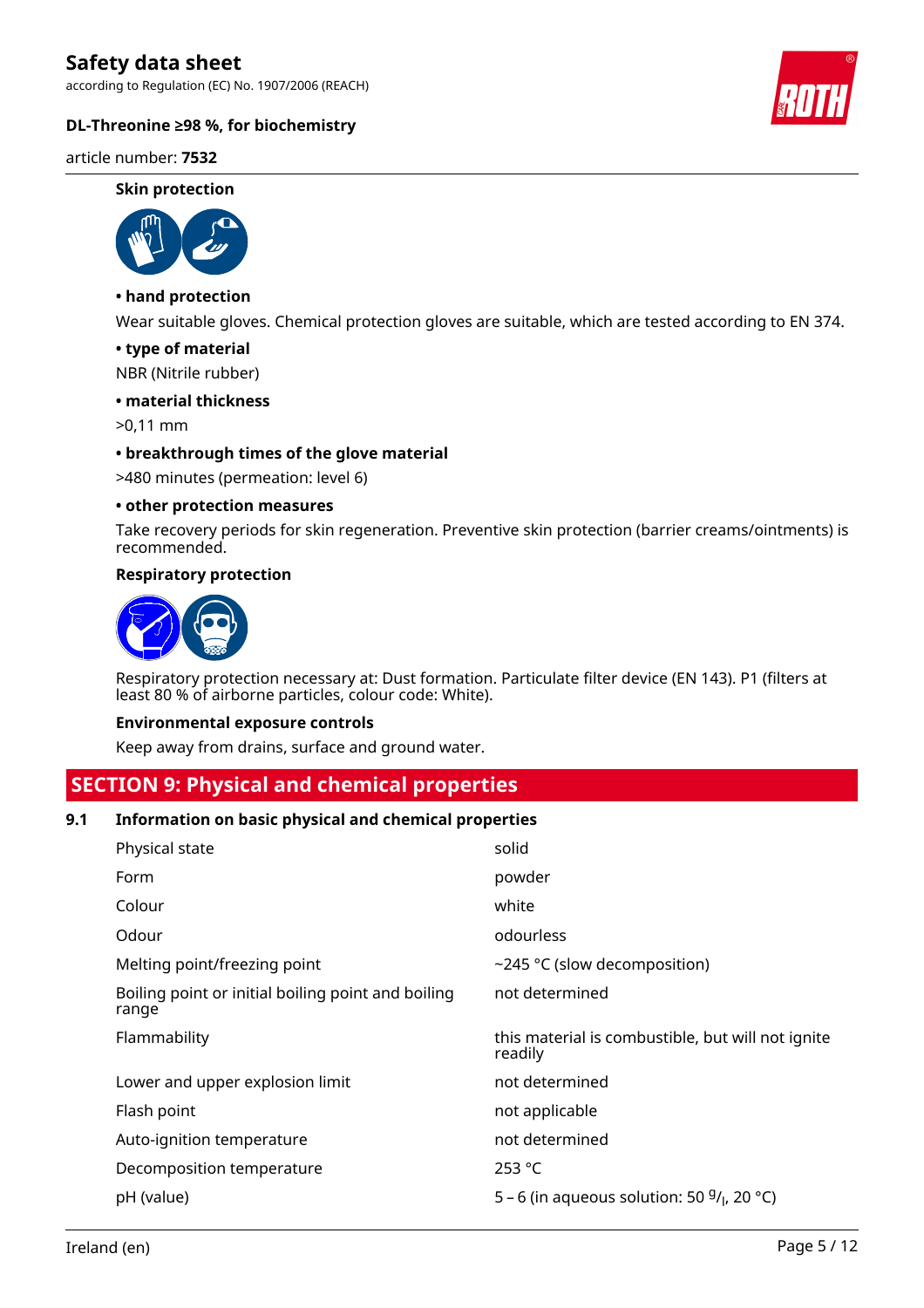according to Regulation (EC) No. 1907/2006 (REACH)

# **DL-Threonine ≥98 %, for biochemistry**

article number: **7532**

#### **Skin protection**



# **• hand protection**

Wear suitable gloves. Chemical protection gloves are suitable, which are tested according to EN 374.

#### **• type of material**

NBR (Nitrile rubber)

#### **• material thickness**

>0,11 mm

# **• breakthrough times of the glove material**

>480 minutes (permeation: level 6)

#### **• other protection measures**

Take recovery periods for skin regeneration. Preventive skin protection (barrier creams/ointments) is recommended.

#### **Respiratory protection**



Respiratory protection necessary at: Dust formation. Particulate filter device (EN 143). P1 (filters at least 80 % of airborne particles, colour code: White).

#### **Environmental exposure controls**

Keep away from drains, surface and ground water.

# **SECTION 9: Physical and chemical properties**

# **9.1 Information on basic physical and chemical properties**

| Physical state                                              | solid                                                        |
|-------------------------------------------------------------|--------------------------------------------------------------|
| Form                                                        | powder                                                       |
| Colour                                                      | white                                                        |
| Odour                                                       | odourless                                                    |
| Melting point/freezing point                                | ~245 °C (slow decomposition)                                 |
| Boiling point or initial boiling point and boiling<br>range | not determined                                               |
| Flammability                                                | this material is combustible, but will not ignite<br>readily |
| Lower and upper explosion limit                             | not determined                                               |
| Flash point                                                 | not applicable                                               |
| Auto-ignition temperature                                   | not determined                                               |
|                                                             |                                                              |
| Decomposition temperature                                   | 253 °C                                                       |

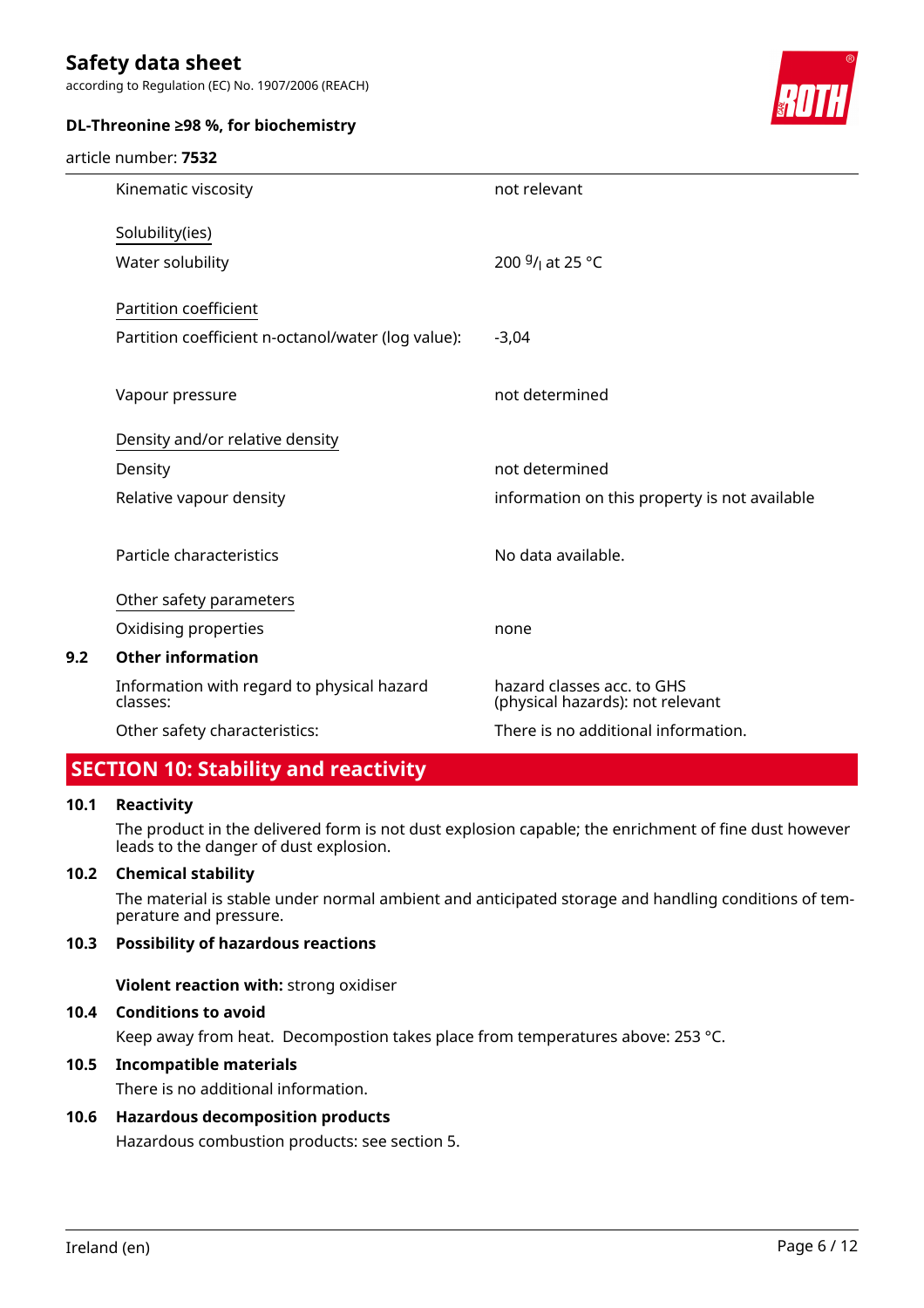according to Regulation (EC) No. 1907/2006 (REACH)



# **DL-Threonine ≥98 %, for biochemistry**

#### article number: **7532**

|     | Kinematic viscosity                                    | not relevant                                                   |
|-----|--------------------------------------------------------|----------------------------------------------------------------|
|     | Solubility(ies)                                        |                                                                |
|     | Water solubility                                       | 200 $9/1$ at 25 °C                                             |
|     | Partition coefficient                                  |                                                                |
|     | Partition coefficient n-octanol/water (log value):     | $-3,04$                                                        |
|     | Vapour pressure                                        | not determined                                                 |
|     | Density and/or relative density                        |                                                                |
|     | Density                                                | not determined                                                 |
|     | Relative vapour density                                | information on this property is not available                  |
|     | Particle characteristics                               | No data available.                                             |
|     | Other safety parameters                                |                                                                |
|     | Oxidising properties                                   | none                                                           |
| 9.2 | <b>Other information</b>                               |                                                                |
|     | Information with regard to physical hazard<br>classes: | hazard classes acc. to GHS<br>(physical hazards): not relevant |
|     | Other safety characteristics:                          | There is no additional information.                            |
|     |                                                        |                                                                |

# **SECTION 10: Stability and reactivity**

# **10.1 Reactivity**

The product in the delivered form is not dust explosion capable; the enrichment of fine dust however leads to the danger of dust explosion.

# **10.2 Chemical stability**

The material is stable under normal ambient and anticipated storage and handling conditions of temperature and pressure.

# **10.3 Possibility of hazardous reactions**

**Violent reaction with:** strong oxidiser

# **10.4 Conditions to avoid**

Keep away from heat. Decompostion takes place from temperatures above: 253 °C.

# **10.5 Incompatible materials**

There is no additional information.

# **10.6 Hazardous decomposition products**

Hazardous combustion products: see section 5.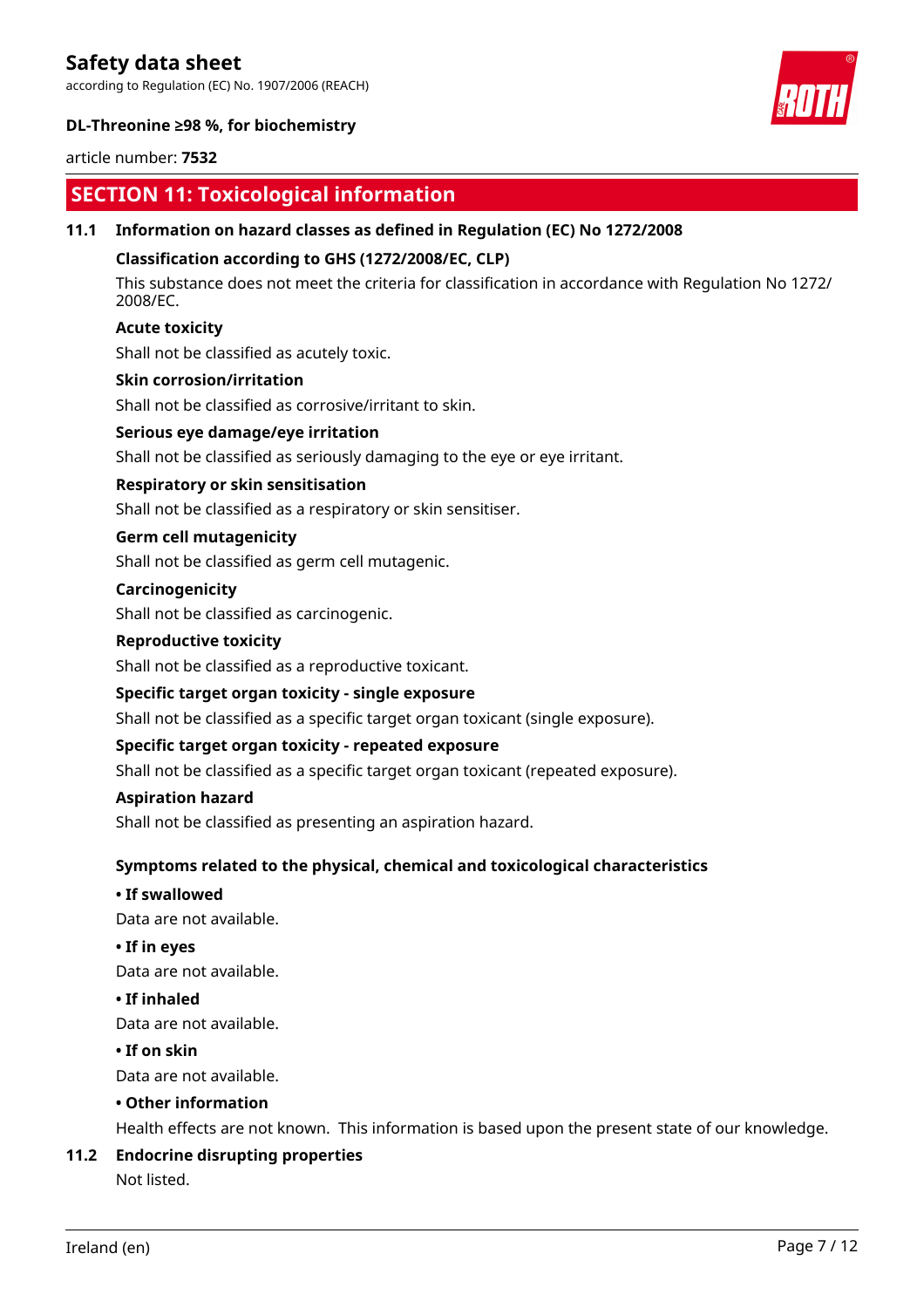according to Regulation (EC) No. 1907/2006 (REACH)



# **DL-Threonine ≥98 %, for biochemistry**

# article number: **7532**

# **SECTION 11: Toxicological information**

# **11.1 Information on hazard classes as defined in Regulation (EC) No 1272/2008**

# **Classification according to GHS (1272/2008/EC, CLP)**

This substance does not meet the criteria for classification in accordance with Regulation No 1272/ 2008/EC.

# **Acute toxicity**

Shall not be classified as acutely toxic.

# **Skin corrosion/irritation**

Shall not be classified as corrosive/irritant to skin.

#### **Serious eye damage/eye irritation**

Shall not be classified as seriously damaging to the eye or eye irritant.

# **Respiratory or skin sensitisation**

Shall not be classified as a respiratory or skin sensitiser.

# **Germ cell mutagenicity**

Shall not be classified as germ cell mutagenic.

# **Carcinogenicity**

Shall not be classified as carcinogenic.

#### **Reproductive toxicity**

Shall not be classified as a reproductive toxicant.

# **Specific target organ toxicity - single exposure**

Shall not be classified as a specific target organ toxicant (single exposure).

# **Specific target organ toxicity - repeated exposure**

Shall not be classified as a specific target organ toxicant (repeated exposure).

#### **Aspiration hazard**

Shall not be classified as presenting an aspiration hazard.

# **Symptoms related to the physical, chemical and toxicological characteristics**

# **• If swallowed**

Data are not available.

# **• If in eyes**

Data are not available.

# **• If inhaled**

Data are not available.

# **• If on skin**

Data are not available.

# **• Other information**

Health effects are not known. This information is based upon the present state of our knowledge.

# **11.2 Endocrine disrupting properties**

Not listed.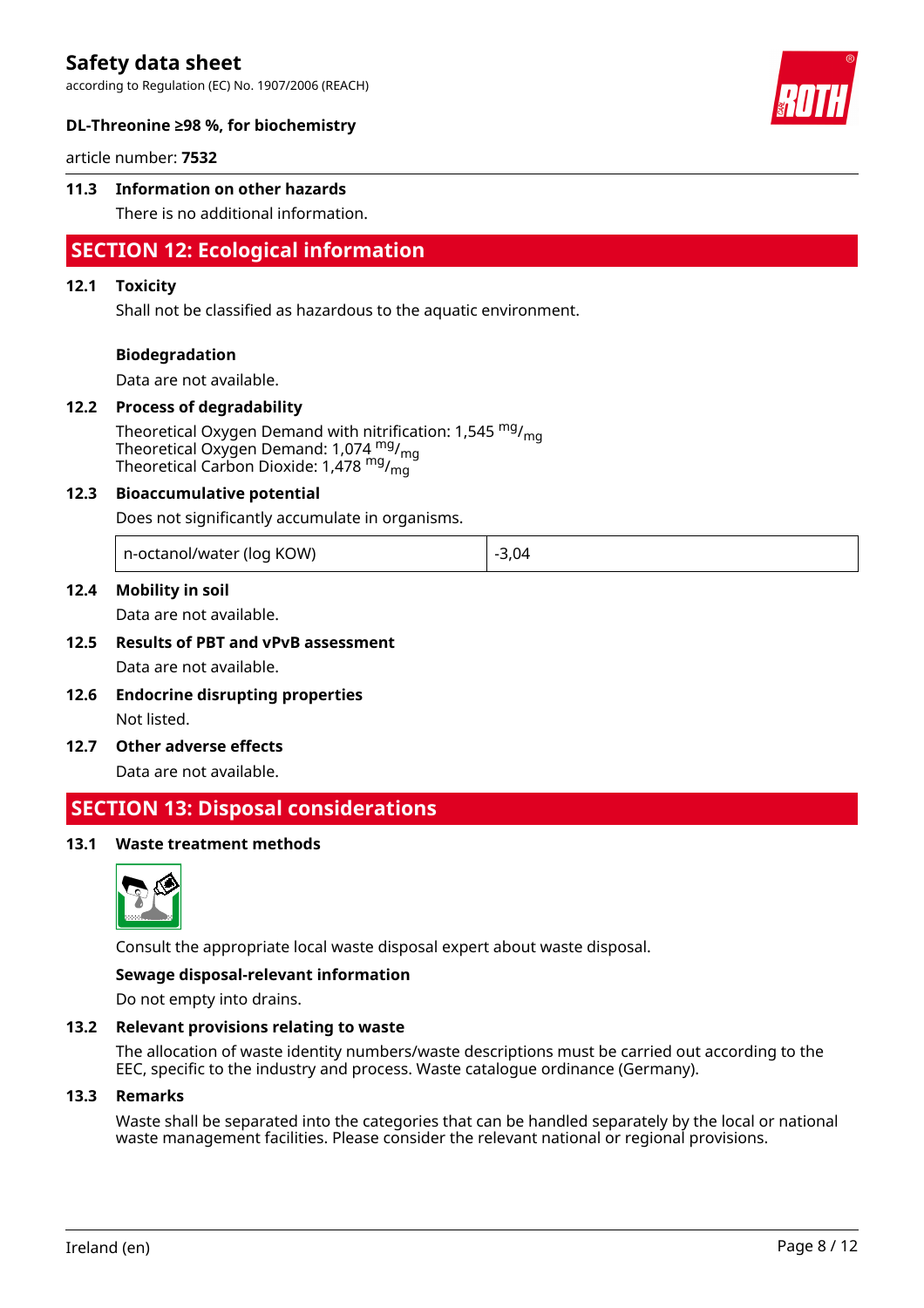according to Regulation (EC) No. 1907/2006 (REACH)



# **DL-Threonine ≥98 %, for biochemistry**

article number: **7532**

# **11.3 Information on other hazards**

There is no additional information.

# **SECTION 12: Ecological information**

#### **12.1 Toxicity**

Shall not be classified as hazardous to the aquatic environment.

#### **Biodegradation**

Data are not available.

#### **12.2 Process of degradability**

Theoretical Oxygen Demand with nitrification: 1,545 <sup>mg</sup>/<sub>mg</sub> Theoretical Oxygen Demand: 1,074 <sup>mg</sup>/<sub>mg</sub> Theoretical Carbon Dioxide: 1,478 mg/mg

#### **12.3 Bioaccumulative potential**

Does not significantly accumulate in organisms.

| n-octanol/water (log KOW) | $-3,04$ |
|---------------------------|---------|
|---------------------------|---------|

#### **12.4 Mobility in soil**

Data are not available.

# **12.5 Results of PBT and vPvB assessment**

Data are not available.

- **12.6 Endocrine disrupting properties** Not listed.
- **12.7 Other adverse effects**

Data are not available.

# **SECTION 13: Disposal considerations**

# **13.1 Waste treatment methods**



Consult the appropriate local waste disposal expert about waste disposal.

#### **Sewage disposal-relevant information**

Do not empty into drains.

# **13.2 Relevant provisions relating to waste**

The allocation of waste identity numbers/waste descriptions must be carried out according to the EEC, specific to the industry and process. Waste catalogue ordinance (Germany).

#### **13.3 Remarks**

Waste shall be separated into the categories that can be handled separately by the local or national waste management facilities. Please consider the relevant national or regional provisions.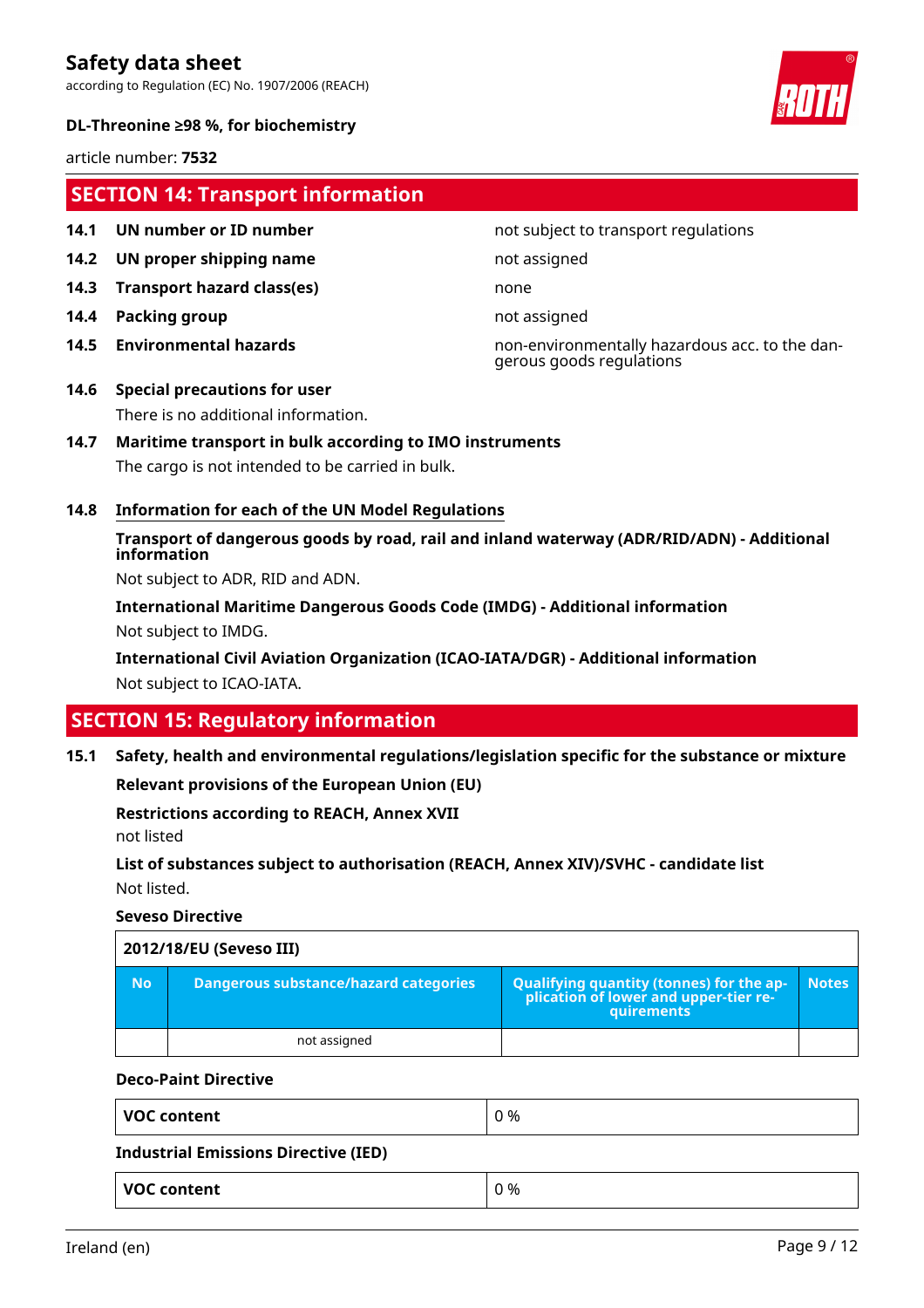according to Regulation (EC) No. 1907/2006 (REACH)



article number: **7532**

# **SECTION 14: Transport information**

- 
- **14.2 UN proper shipping name** not assigned
- **14.3 Transport hazard class(es)** none
- **14.4 Packing group not assigned**
- 

# **14.1 UN number or ID number not subject to transport regulations**

**14.5 Environmental hazards** non-environmentally hazardous acc. to the dangerous goods regulations

# **14.6 Special precautions for user** There is no additional information.

# **14.7 Maritime transport in bulk according to IMO instruments**

The cargo is not intended to be carried in bulk.

# **14.8 Information for each of the UN Model Regulations**

**Transport of dangerous goods by road, rail and inland waterway (ADR/RID/ADN) - Additional information**

Not subject to ADR, RID and ADN.

**International Maritime Dangerous Goods Code (IMDG) - Additional information** Not subject to IMDG.

**International Civil Aviation Organization (ICAO-IATA/DGR) - Additional information** Not subject to ICAO-IATA.

# **SECTION 15: Regulatory information**

**15.1 Safety, health and environmental regulations/legislation specific for the substance or mixture**

**Relevant provisions of the European Union (EU)**

**Restrictions according to REACH, Annex XVII**

not listed

**List of substances subject to authorisation (REACH, Annex XIV)/SVHC - candidate list** Not listed.

# **Seveso Directive**

| 2012/18/EU (Seveso III) |                                       |                                                                                                               |              |
|-------------------------|---------------------------------------|---------------------------------------------------------------------------------------------------------------|--------------|
| <b>No</b>               | Dangerous substance/hazard categories | <b>Qualifying quantity (tonnes) for the ap-</b><br>plication of lower and upper-tier re-<br><b>auirements</b> | <b>Notes</b> |
|                         | not assigned                          |                                                                                                               |              |

# **Deco-Paint Directive**

| <b>VOC content</b>                          | 0 % |
|---------------------------------------------|-----|
| <b>Industrial Emissions Directive (IED)</b> |     |
| <b>VOC content</b>                          | 0 % |

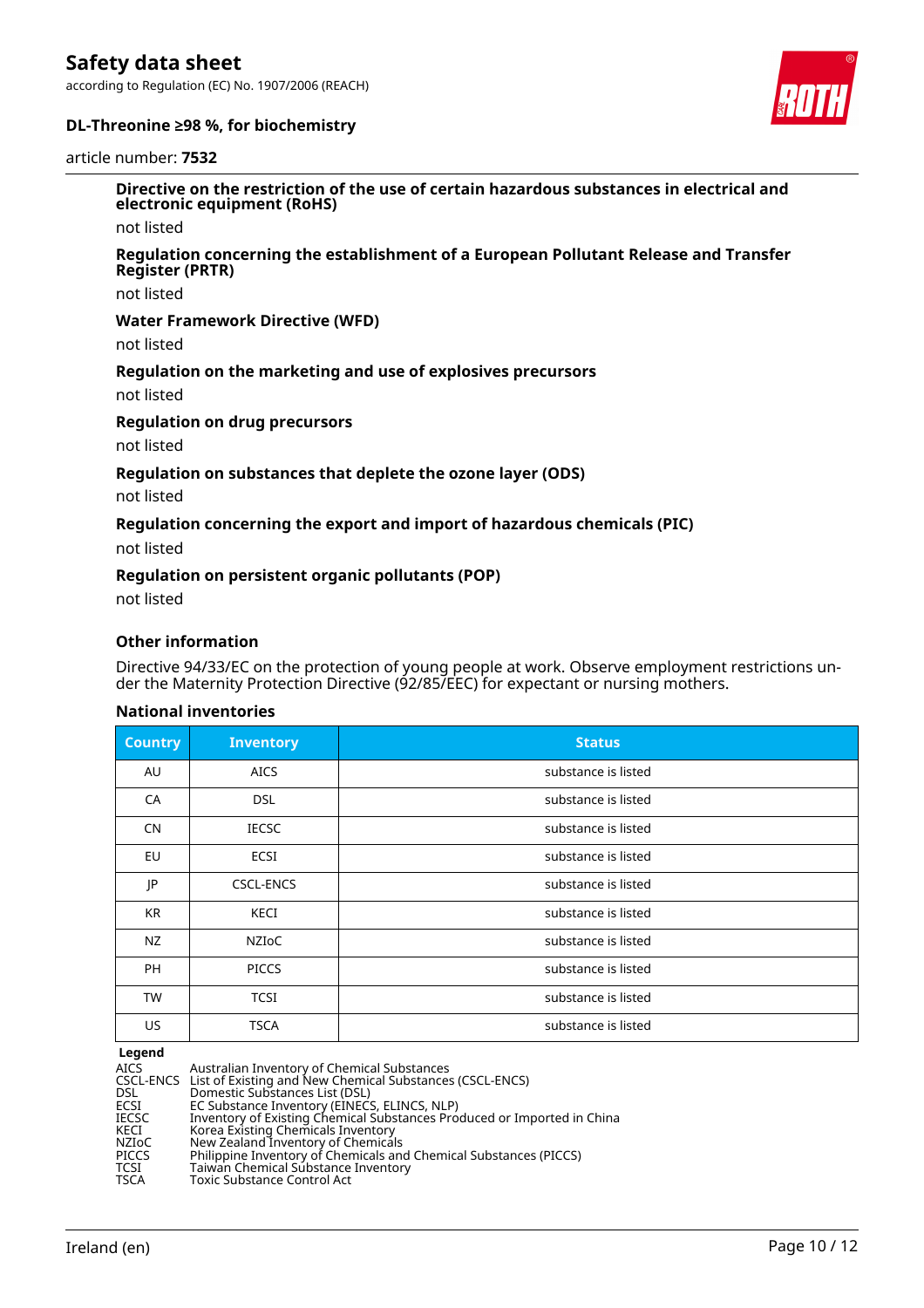according to Regulation (EC) No. 1907/2006 (REACH)





#### article number: **7532**

**Directive on the restriction of the use of certain hazardous substances in electrical and electronic equipment (RoHS)**

not listed

#### **Regulation concerning the establishment of a European Pollutant Release and Transfer Register (PRTR)**

not listed

#### **Water Framework Directive (WFD)**

not listed

#### **Regulation on the marketing and use of explosives precursors**

not listed

#### **Regulation on drug precursors**

not listed

# **Regulation on substances that deplete the ozone layer (ODS)**

not listed

# **Regulation concerning the export and import of hazardous chemicals (PIC)**

not listed

#### **Regulation on persistent organic pollutants (POP)**

not listed

# **Other information**

Directive 94/33/EC on the protection of young people at work. Observe employment restrictions under the Maternity Protection Directive (92/85/EEC) for expectant or nursing mothers.

# **National inventories**

| <b>Country</b> | <b>Inventory</b> | <b>Status</b>       |
|----------------|------------------|---------------------|
| AU             | <b>AICS</b>      | substance is listed |
| CA             | <b>DSL</b>       | substance is listed |
| <b>CN</b>      | <b>IECSC</b>     | substance is listed |
| <b>EU</b>      | <b>ECSI</b>      | substance is listed |
| JP             | <b>CSCL-ENCS</b> | substance is listed |
| KR             | KECI             | substance is listed |
| NZ             | NZIoC            | substance is listed |
| PH             | <b>PICCS</b>     | substance is listed |
| <b>TW</b>      | <b>TCSI</b>      | substance is listed |
| US             | <b>TSCA</b>      | substance is listed |

#### **Legend**

| AICS  | Australian Inventory of Chemical Substances                             |
|-------|-------------------------------------------------------------------------|
|       | CSCL-ENCS List of Existing and New Chemical Substances (CSCL-ENCS)      |
| DSL   | Domestic Substances List (DSL)                                          |
| ECSI  | EC Substance Inventory (EINECS, ELINCS, NLP)                            |
| IECSC | Inventory of Existing Chemical Substances Produced or Imported in China |
| KECI  | Korea Existing Chemicals Inventory                                      |
| NZIoC | New Zealand Inventory of Chemicals                                      |
| PICCS | Philippine Inventory of Chemicals and Chemical Substances (PICCS)       |
| TCSI  | Taiwan Chemical Substance Inventory                                     |
| TSCA  | <b>Toxic Substance Control Act</b>                                      |
|       |                                                                         |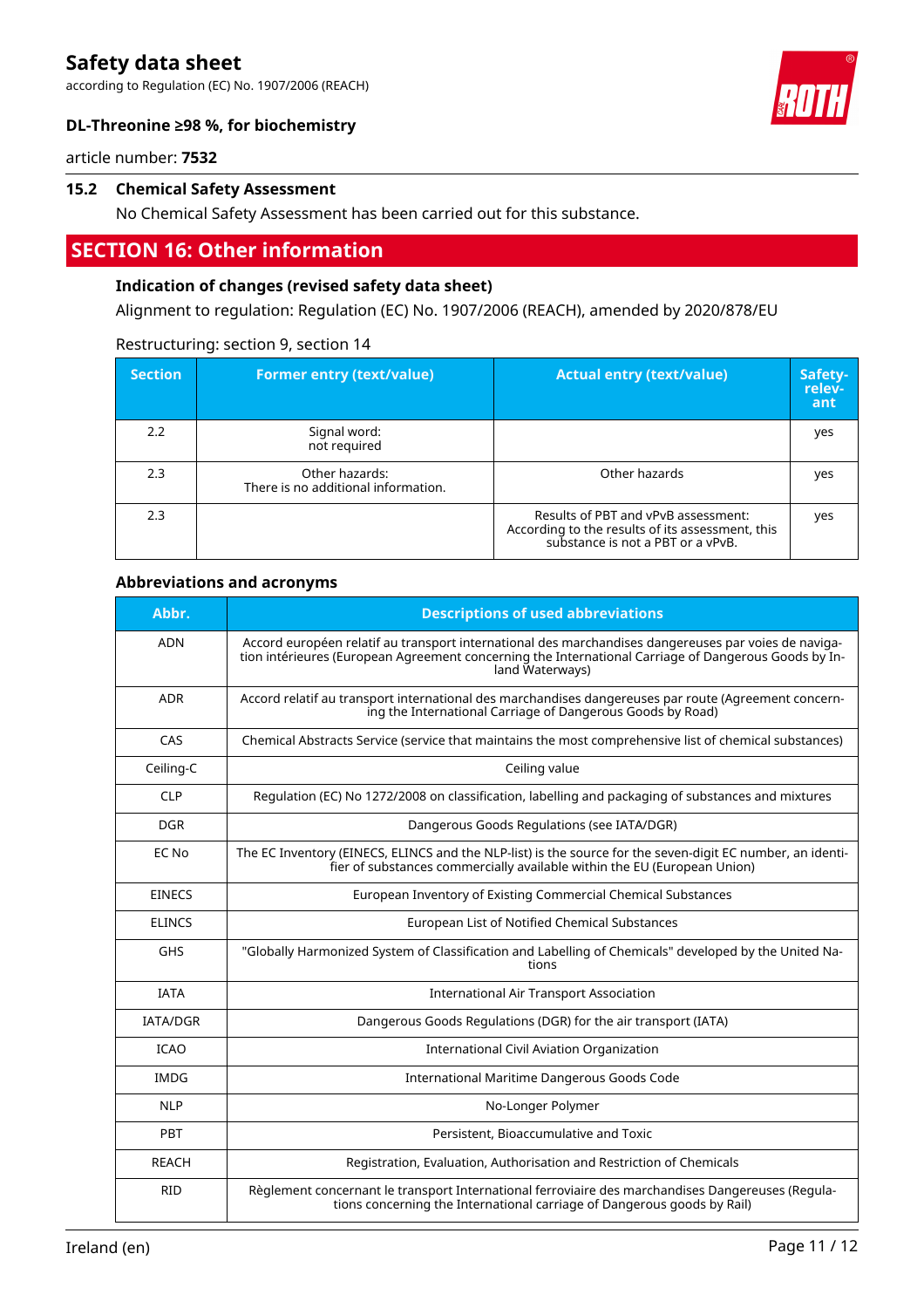according to Regulation (EC) No. 1907/2006 (REACH)



# **DL-Threonine ≥98 %, for biochemistry**

article number: **7532**

# **15.2 Chemical Safety Assessment**

No Chemical Safety Assessment has been carried out for this substance.

# **SECTION 16: Other information**

# **Indication of changes (revised safety data sheet)**

Alignment to regulation: Regulation (EC) No. 1907/2006 (REACH), amended by 2020/878/EU

| <b>Section</b> | <b>Former entry (text/value)</b>                      | <b>Actual entry (text/value)</b>                                                                                             | Safety-<br>relev-<br>ant |
|----------------|-------------------------------------------------------|------------------------------------------------------------------------------------------------------------------------------|--------------------------|
| 2.2            | Signal word:<br>not required                          |                                                                                                                              | yes                      |
| 2.3            | Other hazards:<br>There is no additional information. | Other hazards                                                                                                                | yes                      |
| 2.3            |                                                       | Results of PBT and vPvB assessment:<br>According to the results of its assessment, this<br>substance is not a PBT or a vPvB. | yes                      |

# Restructuring: section 9, section 14

# **Abbreviations and acronyms**

| Abbr.           | <b>Descriptions of used abbreviations</b>                                                                                                                                                                                       |
|-----------------|---------------------------------------------------------------------------------------------------------------------------------------------------------------------------------------------------------------------------------|
| <b>ADN</b>      | Accord européen relatif au transport international des marchandises dangereuses par voies de naviga-<br>tion intérieures (European Agreement concerning the International Carriage of Dangerous Goods by In-<br>land Waterways) |
| <b>ADR</b>      | Accord relatif au transport international des marchandises dangereuses par route (Agreement concern-<br>ing the International Carriage of Dangerous Goods by Road)                                                              |
| CAS             | Chemical Abstracts Service (service that maintains the most comprehensive list of chemical substances)                                                                                                                          |
| Ceiling-C       | Ceiling value                                                                                                                                                                                                                   |
| <b>CLP</b>      | Regulation (EC) No 1272/2008 on classification, labelling and packaging of substances and mixtures                                                                                                                              |
| <b>DGR</b>      | Dangerous Goods Regulations (see IATA/DGR)                                                                                                                                                                                      |
| EC No           | The EC Inventory (EINECS, ELINCS and the NLP-list) is the source for the seven-digit EC number, an identi-<br>fier of substances commercially available within the EU (European Union)                                          |
| <b>EINECS</b>   | European Inventory of Existing Commercial Chemical Substances                                                                                                                                                                   |
| <b>ELINCS</b>   | European List of Notified Chemical Substances                                                                                                                                                                                   |
| <b>GHS</b>      | "Globally Harmonized System of Classification and Labelling of Chemicals" developed by the United Na-<br>tions                                                                                                                  |
| <b>IATA</b>     | <b>International Air Transport Association</b>                                                                                                                                                                                  |
| <b>IATA/DGR</b> | Dangerous Goods Regulations (DGR) for the air transport (IATA)                                                                                                                                                                  |
| <b>ICAO</b>     | <b>International Civil Aviation Organization</b>                                                                                                                                                                                |
| <b>IMDG</b>     | International Maritime Dangerous Goods Code                                                                                                                                                                                     |
| <b>NLP</b>      | No-Longer Polymer                                                                                                                                                                                                               |
| PBT             | Persistent, Bioaccumulative and Toxic                                                                                                                                                                                           |
| <b>REACH</b>    | Registration, Evaluation, Authorisation and Restriction of Chemicals                                                                                                                                                            |
| <b>RID</b>      | Règlement concernant le transport International ferroviaire des marchandises Dangereuses (Regula-<br>tions concerning the International carriage of Dangerous goods by Rail)                                                    |